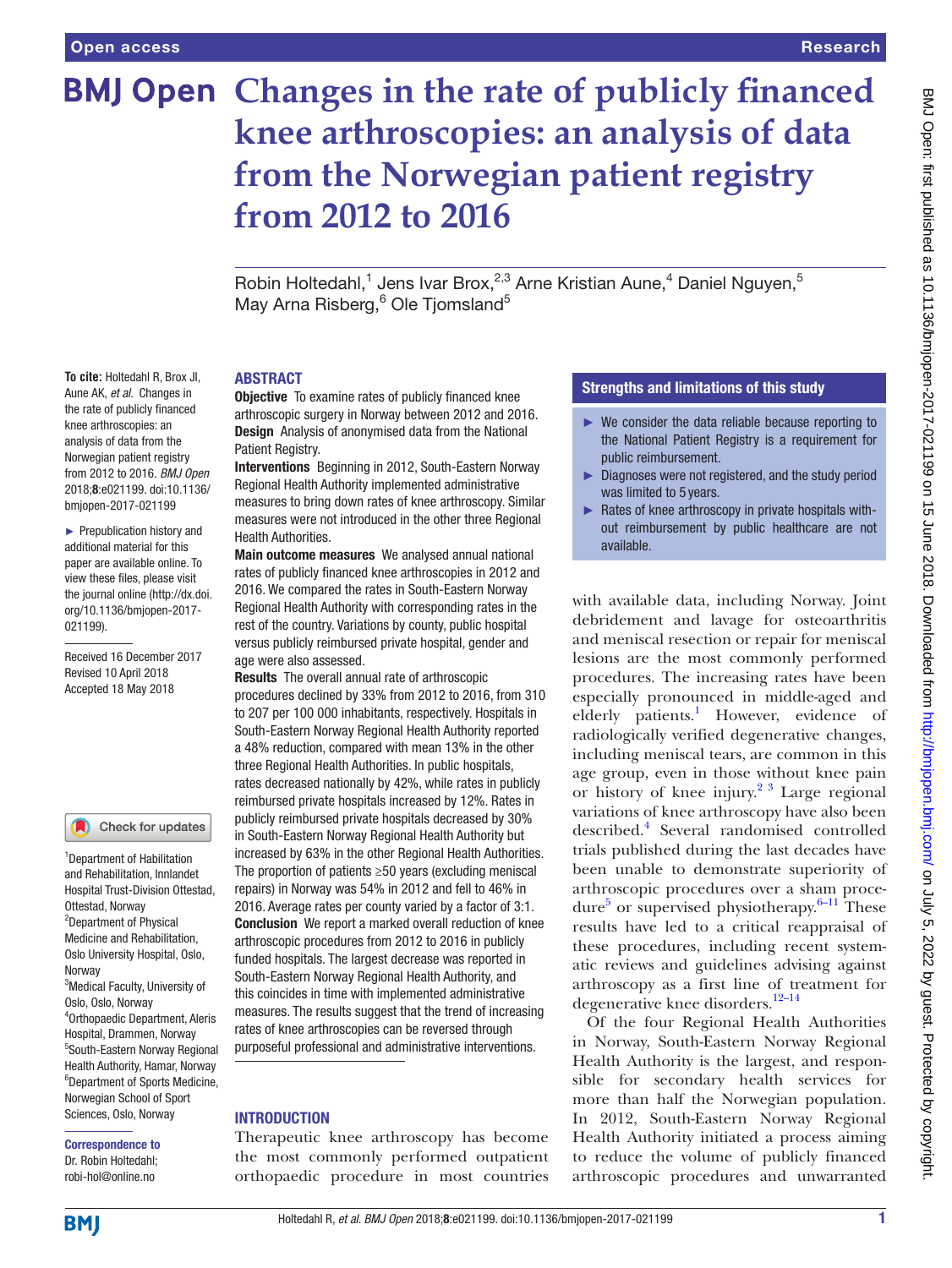**To cite:** Holtedahl R, Brox JI, Aune AK, *et al*. Changes in the rate of publicly financed knee arthroscopies: an analysis of data from the Norwegian patient registry from 2012 to 2016. *BMJ Open* 2018;8:e021199. doi:10.1136/ bmjopen-2017-021199 ► Prepublication history and additional material for this paper are available online. To view these files, please visit the journal online [\(http://dx.doi.](http://dx.doi.org/10.1136/bmjopen-2017-021199) [org/10.1136/bmjopen-2017-](http://dx.doi.org/10.1136/bmjopen-2017-021199)

[021199\)](http://dx.doi.org/10.1136/bmjopen-2017-021199).

Received 16 December 2017 Revised 10 April 2018 Accepted 18 May 2018

<sup>1</sup> Department of Habilitation and Rehabilitation, Innlandet Hospital Trust-Division Ottestad,

Check for updates

3 Medical Faculty, University of

4 Orthopaedic Department, Aleris Hospital, Drammen, Norway 5 South-Eastern Norway Regional Health Authority, Hamar, Norway 6 Department of Sports Medicine, Norwegian School of Sport Sciences, Oslo, Norway Correspondence to Dr. Robin Holtedahl; robi-hol@online.no

Ottestad, Norway <sup>2</sup>Department of Physical Medicine and Rehabilitation, Oslo University Hospital, Oslo,

Oslo, Oslo, Norway

Norway

# **BMJ Open Changes in the rate of publicly financed knee arthroscopies: an analysis of data from the Norwegian patient registry from 2012 to 2016**

Robin Holtedahl,<sup>1</sup> Jens Ivar Brox,<sup>2,3</sup> Arne Kristian Aune,<sup>4</sup> Daniel Nguyen,<sup>5</sup> May Arna Risberg,<sup>6</sup> Ole Tjomsland<sup>5</sup>

## **ABSTRACT**

**Objective** To examine rates of publicly financed knee arthroscopic surgery in Norway between 2012 and 2016. Design Analysis of anonymised data from the National Patient Registry.

Interventions Beginning in 2012, South-Eastern Norway Regional Health Authority implemented administrative measures to bring down rates of knee arthroscopy. Similar measures were not introduced in the other three Regional Health Authorities.

Main outcome measures We analysed annual national rates of publicly financed knee arthroscopies in 2012 and 2016. We compared the rates in South-Eastern Norway Regional Health Authority with corresponding rates in the rest of the country. Variations by county, public hospital versus publicly reimbursed private hospital, gender and age were also assessed.

Results The overall annual rate of arthroscopic procedures declined by 33% from 2012 to 2016, from 310 to 207 per 100 000 inhabitants, respectively. Hospitals in South-Eastern Norway Regional Health Authority reported a 48% reduction, compared with mean 13% in the other three Regional Health Authorities. In public hospitals, rates decreased nationally by 42%, while rates in publicly reimbursed private hospitals increased by 12%. Rates in publicly reimbursed private hospitals decreased by 30% in South-Eastern Norway Regional Health Authority but increased by 63% in the other Regional Health Authorities. The proportion of patients ≥50 years (excluding meniscal repairs) in Norway was 54% in 2012 and fell to 46% in 2016. Average rates per county varied by a factor of 3:1. Conclusion We report a marked overall reduction of knee arthroscopic procedures from 2012 to 2016 in publicly funded hospitals. The largest decrease was reported in South-Eastern Norway Regional Health Authority, and this coincides in time with implemented administrative measures. The results suggest that the trend of increasing rates of knee arthroscopies can be reversed through purposeful professional and administrative interventions.

## **INTRODUCTION**

Therapeutic knee arthroscopy has become the most commonly performed outpatient orthopaedic procedure in most countries

# Strengths and limitations of this study

- $\blacktriangleright$  We consider the data reliable because reporting to the National Patient Registry is a requirement for public reimbursement.
- ► Diagnoses were not registered, and the study period was limited to 5 years.
- ► Rates of knee arthroscopy in private hospitals without reimbursement by public healthcare are not available.

with available data, including Norway. Joint debridement and lavage for osteoarthritis and meniscal resection or repair for meniscal lesions are the most commonly performed procedures. The increasing rates have been especially pronounced in middle-aged and elderly patients.<sup>[1](#page-5-0)</sup> However, evidence of radiologically verified degenerative changes, including meniscal tears, are common in this age group, even in those without knee pain or history of knee injury.<sup>2 3</sup> Large regional variations of knee arthroscopy have also been described[.4](#page-5-2) Several randomised controlled trials published during the last decades have been unable to demonstrate superiority of arthroscopic procedures over a sham proce-dure<sup>[5](#page-5-3)</sup> or supervised physiotherapy. $6-11$  These results have led to a critical reappraisal of these procedures, including recent systematic reviews and guidelines advising against arthroscopy as a first line of treatment for degenerative knee disorders.<sup>12-14</sup>

Of the four Regional Health Authorities in Norway, South-Eastern Norway Regional Health Authority is the largest, and responsible for secondary health services for more than half the Norwegian population. In 2012, South-Eastern Norway Regional Health Authority initiated a process aiming to reduce the volume of publicly financed arthroscopic procedures and unwarranted

**BMI**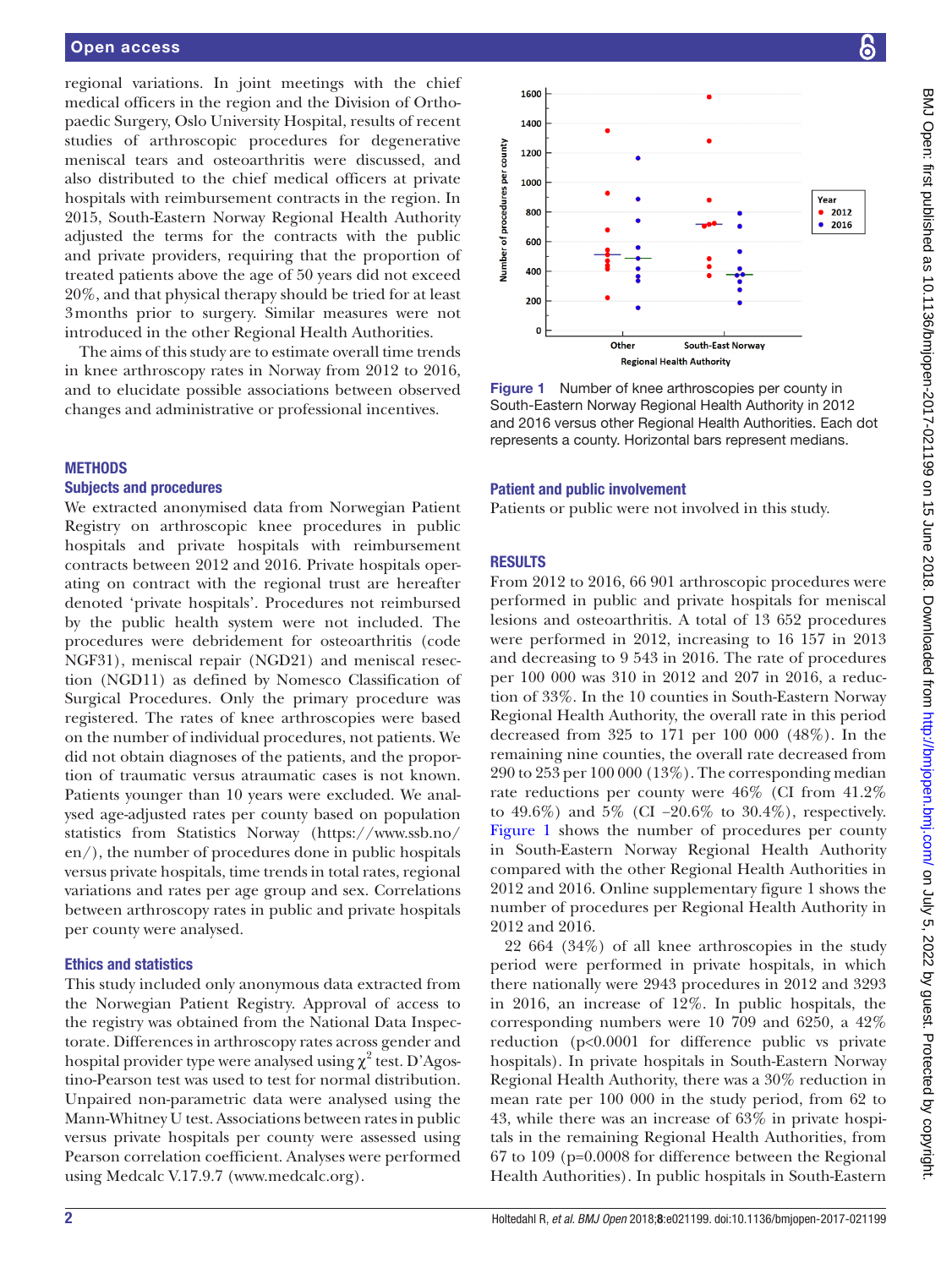## Open access

regional variations. In joint meetings with the chief medical officers in the region and the Division of Orthopaedic Surgery, Oslo University Hospital, results of recent studies of arthroscopic procedures for degenerative meniscal tears and osteoarthritis were discussed, and also distributed to the chief medical officers at private hospitals with reimbursement contracts in the region. In 2015, South-Eastern Norway Regional Health Authority adjusted the terms for the contracts with the public and private providers, requiring that the proportion of treated patients above the age of 50 years did not exceed 20%, and that physical therapy should be tried for at least 3months prior to surgery. Similar measures were not introduced in the other Regional Health Authorities.

The aims of this study are to estimate overall time trends in knee arthroscopy rates in Norway from 2012 to 2016, and to elucidate possible associations between observed changes and administrative or professional incentives.

#### **METHODS**

#### Subjects and procedures

We extracted anonymised data from Norwegian Patient Registry on arthroscopic knee procedures in public hospitals and private hospitals with reimbursement contracts between 2012 and 2016. Private hospitals operating on contract with the regional trust are hereafter denoted 'private hospitals'. Procedures not reimbursed by the public health system were not included. The procedures were debridement for osteoarthritis (code NGF31), meniscal repair (NGD21) and meniscal resection (NGD11) as defined by Nomesco Classification of Surgical Procedures. Only the primary procedure was registered. The rates of knee arthroscopies were based on the number of individual procedures, not patients. We did not obtain diagnoses of the patients, and the proportion of traumatic versus atraumatic cases is not known. Patients younger than 10 years were excluded. We analysed age-adjusted rates per county based on population statistics from Statistics Norway [\(https://www.ssb.no/](https://www.ssb.no/en/) [en/](https://www.ssb.no/en/)), the number of procedures done in public hospitals versus private hospitals, time trends in total rates, regional variations and rates per age group and sex. Correlations between arthroscopy rates in public and private hospitals per county were analysed.

#### Ethics and statistics

This study included only anonymous data extracted from the Norwegian Patient Registry. Approval of access to the registry was obtained from the National Data Inspectorate. Differences in arthroscopy rates across gender and hospital provider type were analysed using  $\chi^2$  test. D'Agostino-Pearson test was used to test for normal distribution. Unpaired non-parametric data were analysed using the Mann-Whitney U test. Associations between rates in public versus private hospitals per county were assessed using Pearson correlation coefficient. Analyses were performed using Medcalc V.17.9.7 (<www.medcalc.org>).



<span id="page-1-0"></span>Figure 1 Number of knee arthroscopies per county in South-Eastern Norway Regional Health Authority in 2012 and 2016 versus other Regional Health Authorities. Each dot represents a county. Horizontal bars represent medians.

#### Patient and public involvement

Patients or public were not involved in this study.

## **RESULTS**

From 2012 to 2016, 66 901 arthroscopic procedures were performed in public and private hospitals for meniscal lesions and osteoarthritis. A total of 13 652 procedures were performed in 2012, increasing to 16 157 in 2013 and decreasing to 9 543 in 2016. The rate of procedures per 100 000 was 310 in 2012 and 207 in 2016, a reduction of 33%. In the 10 counties in South-Eastern Norway Regional Health Authority, the overall rate in this period decreased from 325 to 171 per 100 000 (48%). In the remaining nine counties, the overall rate decreased from 290 to 253 per 100 000 (13%). The corresponding median rate reductions per county were 46% (CI from 41.2% to 49.6%) and 5% (CI −20.6% to 30.4%), respectively. [Figure](#page-1-0) 1 shows the number of procedures per county in South-Eastern Norway Regional Health Authority compared with the other Regional Health Authorities in 2012 and 2016. Online [supplementary figure 1](https://dx.doi.org/10.1136/bmjopen-2017-021199) shows the number of procedures per Regional Health Authority in 2012 and 2016.

22 664 (34%) of all knee arthroscopies in the study period were performed in private hospitals, in which there nationally were 2943 procedures in 2012 and 3293 in 2016, an increase of 12%. In public hospitals, the corresponding numbers were 10 709 and 6250, a 42% reduction (p<0.0001 for difference public vs private hospitals). In private hospitals in South-Eastern Norway Regional Health Authority, there was a 30% reduction in mean rate per 100 000 in the study period, from 62 to 43, while there was an increase of 63% in private hospitals in the remaining Regional Health Authorities, from 67 to 109 (p=0.0008 for difference between the Regional Health Authorities). In public hospitals in South-Eastern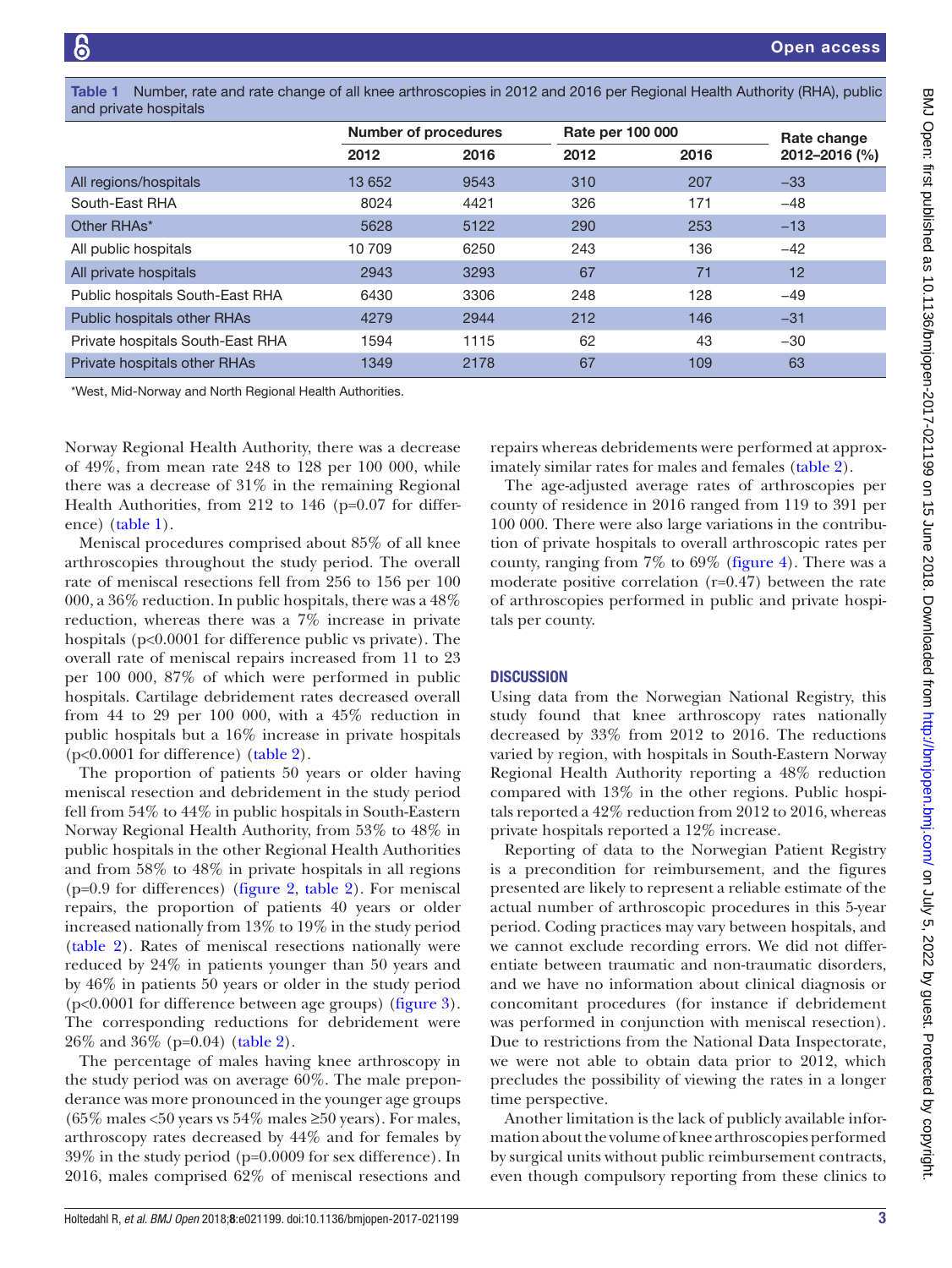<span id="page-2-0"></span>Table 1 Number, rate and rate change of all knee arthroscopies in 2012 and 2016 per Regional Health Authority (RHA), public and private hospitals

|                                    | <b>Number of procedures</b> |      | Rate per 100 000 |      | Rate change   |
|------------------------------------|-----------------------------|------|------------------|------|---------------|
|                                    | 2012                        | 2016 | 2012             | 2016 | 2012-2016 (%) |
| All regions/hospitals              | 13 652                      | 9543 | 310              | 207  | $-33$         |
| South-East RHA                     | 8024                        | 4421 | 326              | 171  | $-48$         |
| Other RHAs*                        | 5628                        | 5122 | 290              | 253  | $-13$         |
| All public hospitals               | 10 709                      | 6250 | 243              | 136  | $-42$         |
| All private hospitals              | 2943                        | 3293 | 67               | 71   | 12            |
| Public hospitals South-East RHA    | 6430                        | 3306 | 248              | 128  | $-49$         |
| <b>Public hospitals other RHAs</b> | 4279                        | 2944 | 212              | 146  | $-31$         |
| Private hospitals South-East RHA   | 1594                        | 1115 | 62               | 43   | $-30$         |
| Private hospitals other RHAs       | 1349                        | 2178 | 67               | 109  | 63            |

\*West, Mid-Norway and North Regional Health Authorities.

Norway Regional Health Authority, there was a decrease of 49%, from mean rate 248 to 128 per 100 000, while there was a decrease of 31% in the remaining Regional Health Authorities, from 212 to 146 (p=0.07 for difference) [\(table](#page-2-0) 1).

Meniscal procedures comprised about 85% of all knee arthroscopies throughout the study period. The overall rate of meniscal resections fell from 256 to 156 per 100 000, a 36% reduction. In public hospitals, there was a 48% reduction, whereas there was a 7% increase in private hospitals (p<0.0001 for difference public vs private). The overall rate of meniscal repairs increased from 11 to 23 per 100 000, 87% of which were performed in public hospitals. Cartilage debridement rates decreased overall from 44 to 29 per 100 000, with a 45% reduction in public hospitals but a 16% increase in private hospitals (p<0.0001 for difference) [\(table](#page-3-0) 2).

The proportion of patients 50 years or older having meniscal resection and debridement in the study period fell from 54% to 44% in public hospitals in South-Eastern Norway Regional Health Authority, from 53% to 48% in public hospitals in the other Regional Health Authorities and from 58% to 48% in private hospitals in all regions (p=0.9 for differences) ([figure](#page-3-1) 2, [table](#page-3-0) 2). For meniscal repairs, the proportion of patients 40 years or older increased nationally from 13% to 19% in the study period ([table](#page-3-0) 2). Rates of meniscal resections nationally were reduced by 24% in patients younger than 50 years and by 46% in patients 50 years or older in the study period (p<0.0001 for difference between age groups) ([figure](#page-3-2) 3). The corresponding reductions for debridement were 26% and 36% (p=0.04) ([table](#page-3-0) 2).

The percentage of males having knee arthroscopy in the study period was on average 60%. The male preponderance was more pronounced in the younger age groups (65% males <50 years vs 54% males  $\geq$ 50 years). For males, arthroscopy rates decreased by 44% and for females by 39% in the study period (p=0.0009 for sex difference). In 2016, males comprised 62% of meniscal resections and

repairs whereas debridements were performed at approximately similar rates for males and females [\(table](#page-3-0) 2).

The age-adjusted average rates of arthroscopies per county of residence in 2016 ranged from 119 to 391 per 100 000. There were also large variations in the contribution of private hospitals to overall arthroscopic rates per county, ranging from 7% to 69% [\(figure](#page-4-0) 4). There was a moderate positive correlation (r=0.47) between the rate of arthroscopies performed in public and private hospitals per county.

## **DISCUSSION**

Using data from the Norwegian National Registry, this study found that knee arthroscopy rates nationally decreased by 33% from 2012 to 2016. The reductions varied by region, with hospitals in South-Eastern Norway Regional Health Authority reporting a 48% reduction compared with 13% in the other regions. Public hospitals reported a 42% reduction from 2012 to 2016, whereas private hospitals reported a 12% increase.

Reporting of data to the Norwegian Patient Registry is a precondition for reimbursement, and the figures presented are likely to represent a reliable estimate of the actual number of arthroscopic procedures in this 5-year period. Coding practices may vary between hospitals, and we cannot exclude recording errors. We did not differentiate between traumatic and non-traumatic disorders, and we have no information about clinical diagnosis or concomitant procedures (for instance if debridement was performed in conjunction with meniscal resection). Due to restrictions from the National Data Inspectorate, we were not able to obtain data prior to 2012, which precludes the possibility of viewing the rates in a longer time perspective.

Another limitation is the lack of publicly available information about the volume of knee arthroscopies performed by surgical units without public reimbursement contracts, even though compulsory reporting from these clinics to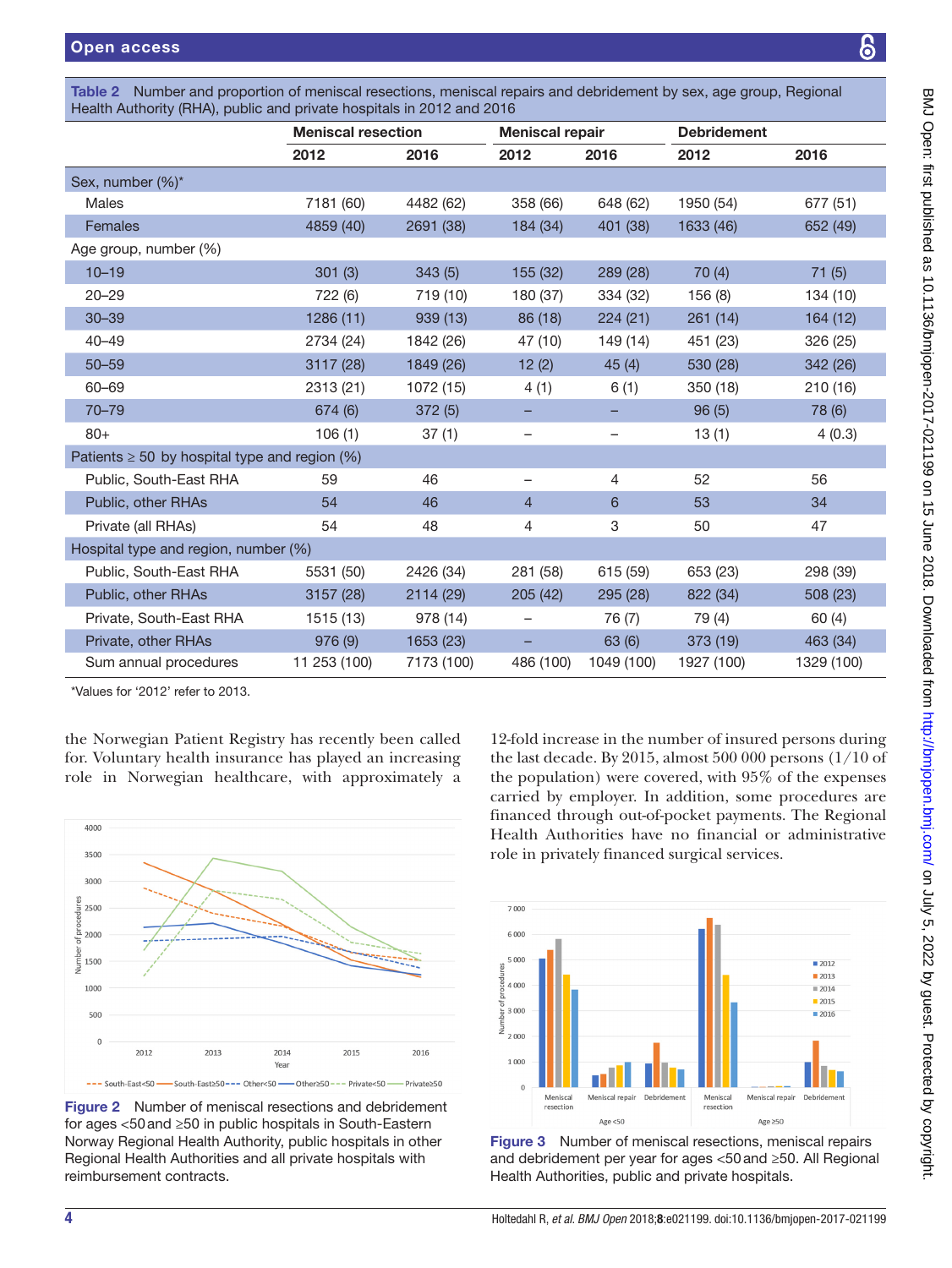<span id="page-3-0"></span>

| Table 2 Number and proportion of meniscal resections, meniscal repairs and debridement by sex, age group, Regional |  |
|--------------------------------------------------------------------------------------------------------------------|--|
| Health Authority (RHA), public and private hospitals in 2012 and 2016                                              |  |

|                                                    | <b>Meniscal resection</b> |            | <b>Meniscal repair</b>   |                          | <b>Debridement</b> |            |  |  |  |
|----------------------------------------------------|---------------------------|------------|--------------------------|--------------------------|--------------------|------------|--|--|--|
|                                                    | 2012                      | 2016       | 2012                     | 2016                     | 2012               | 2016       |  |  |  |
| Sex, number (%)*                                   |                           |            |                          |                          |                    |            |  |  |  |
| <b>Males</b>                                       | 7181 (60)                 | 4482 (62)  | 358 (66)                 | 648 (62)                 | 1950 (54)          | 677 (51)   |  |  |  |
| Females                                            | 4859 (40)                 | 2691 (38)  | 184 (34)                 | 401 (38)                 | 1633 (46)          | 652 (49)   |  |  |  |
| Age group, number (%)                              |                           |            |                          |                          |                    |            |  |  |  |
| $10 - 19$                                          | 301(3)                    | 343(5)     | 155 (32)                 | 289 (28)                 | 70(4)              | 71(5)      |  |  |  |
| $20 - 29$                                          | 722 (6)                   | 719 (10)   | 180 (37)                 | 334 (32)                 | 156(8)             | 134 (10)   |  |  |  |
| $30 - 39$                                          | 1286(11)                  | 939 (13)   | 86 (18)                  | 224(21)                  | 261(14)            | 164 (12)   |  |  |  |
| $40 - 49$                                          | 2734 (24)                 | 1842 (26)  | 47 (10)                  | 149 (14)                 | 451 (23)           | 326 (25)   |  |  |  |
| $50 - 59$                                          | 3117 (28)                 | 1849 (26)  | 12(2)                    | 45(4)                    | 530 (28)           | 342 (26)   |  |  |  |
| 60-69                                              | 2313 (21)                 | 1072 (15)  | 4(1)                     | 6(1)                     | 350(18)            | 210(16)    |  |  |  |
| $70 - 79$                                          | 674 (6)                   | 372(5)     | -                        |                          | 96(5)              | 78 (6)     |  |  |  |
| $80+$                                              | 106(1)                    | 37(1)      | $\overline{\phantom{m}}$ | $\overline{\phantom{m}}$ | 13(1)              | 4(0.3)     |  |  |  |
| Patients $\geq 50$ by hospital type and region (%) |                           |            |                          |                          |                    |            |  |  |  |
| Public, South-East RHA                             | 59                        | 46         | -                        | $\overline{4}$           | 52                 | 56         |  |  |  |
| Public, other RHAs                                 | 54                        | 46         | $\overline{4}$           | $6\phantom{1}$           | 53                 | 34         |  |  |  |
| Private (all RHAs)                                 | 54                        | 48         | 4                        | 3                        | 50                 | 47         |  |  |  |
| Hospital type and region, number (%)               |                           |            |                          |                          |                    |            |  |  |  |
| Public, South-East RHA                             | 5531 (50)                 | 2426 (34)  | 281 (58)                 | 615 (59)                 | 653 (23)           | 298 (39)   |  |  |  |
| Public, other RHAs                                 | 3157 (28)                 | 2114 (29)  | 205(42)                  | 295 (28)                 | 822 (34)           | 508 (23)   |  |  |  |
| Private, South-East RHA                            | 1515 (13)                 | 978 (14)   | -                        | 76 (7)                   | 79 (4)             | 60(4)      |  |  |  |
| Private, other RHAs                                | 976(9)                    | 1653 (23)  | -                        | 63 (6)                   | 373 (19)           | 463 (34)   |  |  |  |
| Sum annual procedures                              | 11 253 (100)              | 7173 (100) | 486 (100)                | 1049 (100)               | 1927 (100)         | 1329 (100) |  |  |  |

\*Values for '2012' refer to 2013.

the Norwegian Patient Registry has recently been called for. Voluntary health insurance has played an increasing role in Norwegian healthcare, with approximately a



<span id="page-3-1"></span>Figure 2 Number of meniscal resections and debridement for ages <50and ≥50 in public hospitals in South-Eastern Norway Regional Health Authority, public hospitals in other Regional Health Authorities and all private hospitals with reimbursement contracts.

12-fold increase in the number of insured persons during the last decade. By 2015, almost 500 000 persons (1/10 of the population) were covered, with 95% of the expenses carried by employer. In addition, some procedures are financed through out-of-pocket payments. The Regional Health Authorities have no financial or administrative role in privately financed surgical services.



<span id="page-3-2"></span>Figure 3 Number of meniscal resections, meniscal repairs and debridement per year for ages <50and ≥50. All Regional Health Authorities, public and private hospitals.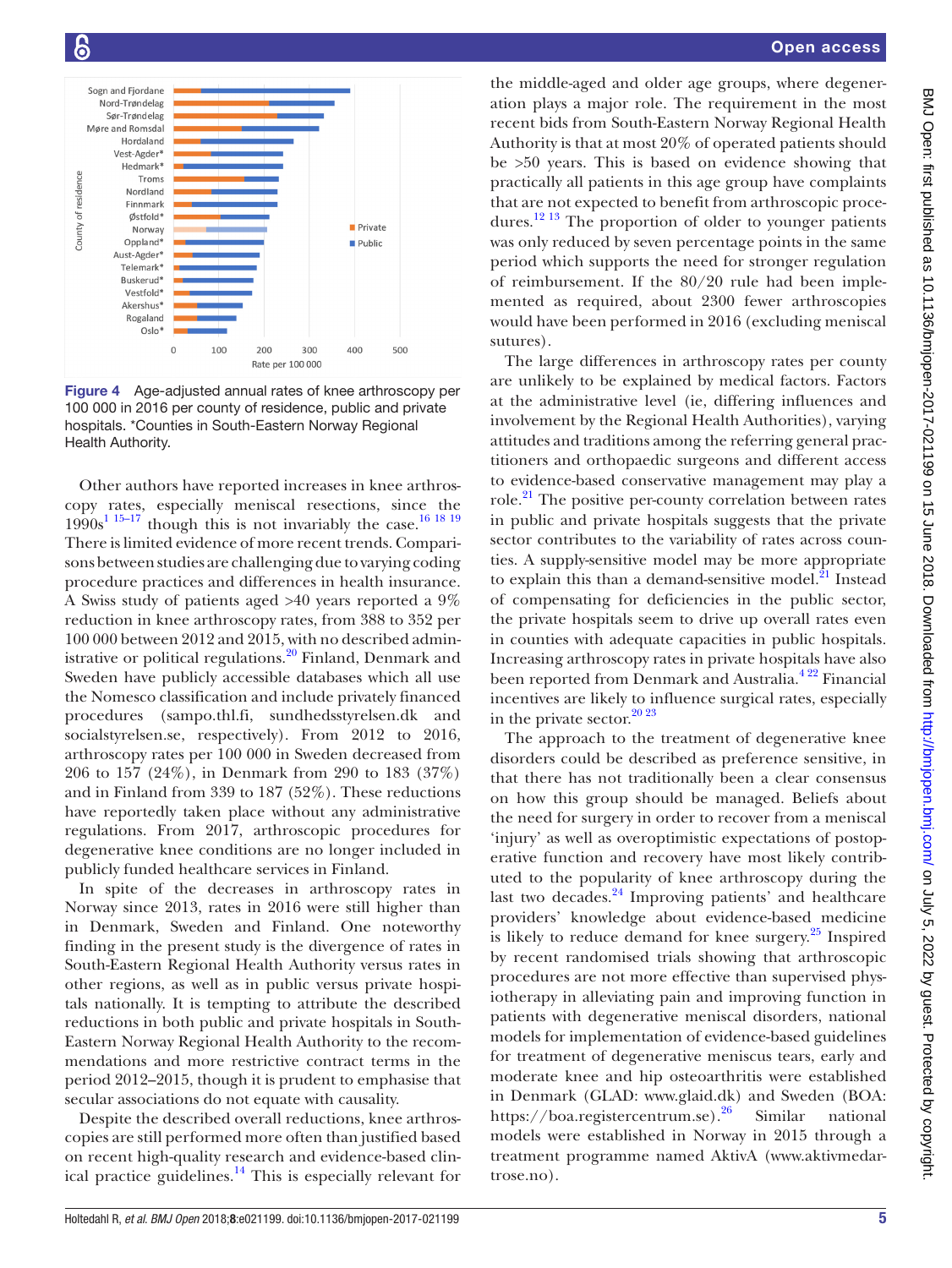

<span id="page-4-0"></span>Figure 4 Age-adjusted annual rates of knee arthroscopy per 100 000 in 2016 per county of residence, public and private hospitals. \*Counties in South-Eastern Norway Regional Health Authority.

Other authors have reported increases in knee arthroscopy rates, especially meniscal resections, since the  $1990s^{1.15-17}$  though this is not invariably the case.<sup>16 18 19</sup> There is limited evidence of more recent trends. Comparisons between studies are challenging due to varying coding procedure practices and differences in health insurance. A Swiss study of patients aged >40 years reported a 9% reduction in knee arthroscopy rates, from 388 to 352 per 100 000 between 2012 and 2015, with no described administrative or political regulations.<sup>20</sup> Finland, Denmark and Sweden have publicly accessible databases which all use the Nomesco classification and include privately financed procedures (sampo.thl.fi, sundhedsstyrelsen.dk and socialstyrelsen.se, respectively). From 2012 to 2016, arthroscopy rates per 100 000 in Sweden decreased from 206 to 157 (24%), in Denmark from 290 to 183 (37%) and in Finland from 339 to 187 (52%). These reductions have reportedly taken place without any administrative regulations. From 2017, arthroscopic procedures for degenerative knee conditions are no longer included in publicly funded healthcare services in Finland.

In spite of the decreases in arthroscopy rates in Norway since 2013, rates in 2016 were still higher than in Denmark, Sweden and Finland. One noteworthy finding in the present study is the divergence of rates in South-Eastern Regional Health Authority versus rates in other regions, as well as in public versus private hospitals nationally. It is tempting to attribute the described reductions in both public and private hospitals in South-Eastern Norway Regional Health Authority to the recommendations and more restrictive contract terms in the period 2012–2015, though it is prudent to emphasise that secular associations do not equate with causality.

Despite the described overall reductions, knee arthroscopies are still performed more often than justified based on recent high-quality research and evidence-based clinical practice guidelines. $^{14}$  $^{14}$  $^{14}$  This is especially relevant for

the middle-aged and older age groups, where degeneration plays a major role. The requirement in the most recent bids from South-Eastern Norway Regional Health Authority is that at most 20% of operated patients should be >50 years. This is based on evidence showing that practically all patients in this age group have complaints that are not expected to benefit from arthroscopic proce-dures.<sup>[12 13](#page-5-5)</sup> The proportion of older to younger patients was only reduced by seven percentage points in the same period which supports the need for stronger regulation of reimbursement. If the 80/20 rule had been implemented as required, about 2300 fewer arthroscopies would have been performed in 2016 (excluding meniscal sutures).

The large differences in arthroscopy rates per county are unlikely to be explained by medical factors. Factors at the administrative level (ie, differing influences and involvement by the Regional Health Authorities), varying attitudes and traditions among the referring general practitioners and orthopaedic surgeons and different access to evidence-based conservative management may play a role.<sup>21</sup> The positive per-county correlation between rates in public and private hospitals suggests that the private sector contributes to the variability of rates across counties. A supply-sensitive model may be more appropriate to explain this than a demand-sensitive model. $^{21}$  Instead of compensating for deficiencies in the public sector, the private hospitals seem to drive up overall rates even in counties with adequate capacities in public hospitals. Increasing arthroscopy rates in private hospitals have also been reported from Denmark and Australia.<sup>422</sup> Financial incentives are likely to influence surgical rates, especially in the private sector. $20\frac{20\frac{23}{25}}{20\frac{23}{25}}$ 

The approach to the treatment of degenerative knee disorders could be described as preference sensitive, in that there has not traditionally been a clear consensus on how this group should be managed. Beliefs about the need for surgery in order to recover from a meniscal 'injury' as well as overoptimistic expectations of postoperative function and recovery have most likely contributed to the popularity of knee arthroscopy during the last two decades.<sup>[24](#page-5-10)</sup> Improving patients' and healthcare providers' knowledge about evidence-based medicine is likely to reduce demand for knee surgery. $^{25}$  $^{25}$  $^{25}$  Inspired by recent randomised trials showing that arthroscopic procedures are not more effective than supervised physiotherapy in alleviating pain and improving function in patients with degenerative meniscal disorders, national models for implementation of evidence-based guidelines for treatment of degenerative meniscus tears, early and moderate knee and hip osteoarthritis were established in Denmark (GLAD: <www.glaid.dk>) and Sweden (BOA: <https://boa.registercentrum.se>).<sup>[26](#page-5-12)</sup> Similar national models were established in Norway in 2015 through a treatment programme named AktivA [\(www.aktivmedar](www.aktivmedartrose.no)[trose.no\)](www.aktivmedartrose.no).